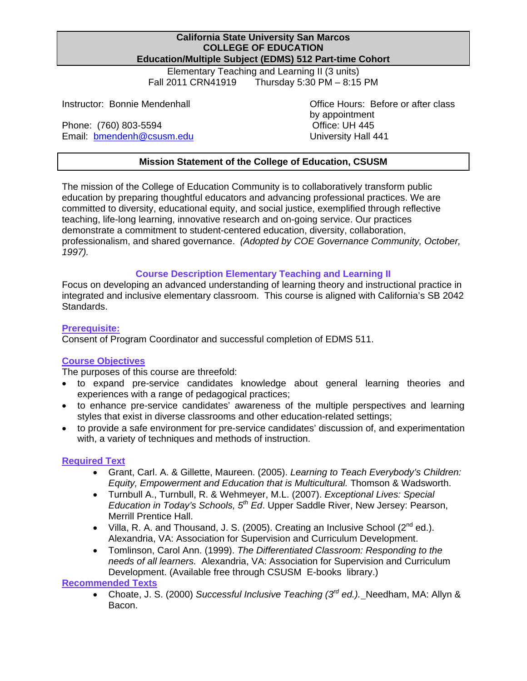Elementary Teaching and Learning II (3 units) Fall 2011 CRN41919 Thursday 5:30 PM – 8:15 PM

Email: **bmendenh@csusm.edu** University Hall 441 Phone: (760) 803-5594 Contract Contract Contract Contract Contract Contract CON

Instructor: Bonnie Mendenhall **Connie Connie Mendenhall** Office Hours: Before or after class by appointment

## **Mission Statement of the College of Education, CSUSM**

The mission of the College of Education Community is to collaboratively transform public education by preparing thoughtful educators and advancing professional practices. We are committed to diversity, educational equity, and social justice, exemplified through reflective teaching, life-long learning, innovative research and on-going service. Our practices demonstrate a commitment to student-centered education, diversity, collaboration, professionalism, and shared governance. *(Adopted by COE Governance Community, October, 1997).* 

## **Course Description Elementary Teaching and Learning II**

Focus on developing an advanced understanding of learning theory and instructional practice in integrated and inclusive elementary classroom. This course is aligned with California's SB 2042 Standards.

## **Prerequisite:**

Consent of Program Coordinator and successful completion of EDMS 511.

## **Course Objectives**

The purposes of this course are threefold:

- to expand pre-service candidates knowledge about general learning theories and experiences with a range of pedagogical practices;
- to enhance pre-service candidates' awareness of the multiple perspectives and learning styles that exist in diverse classrooms and other education-related settings;
- to provide a safe environment for pre-service candidates' discussion of, and experimentation with, a variety of techniques and methods of instruction.

## **Required Text**

- Grant, Carl. A. & Gillette, Maureen. (2005). *Learning to Teach Everybody's Children: Equity, Empowerment and Education that is Multicultural.* Thomson & Wadsworth.
- Turnbull A., Turnbull, R. & Wehmeyer, M.L. (2007). *Exceptional Lives: Special Education in Today's Schools, 5th Ed*. Upper Saddle River, New Jersey: Pearson, Merrill Prentice Hall.
- Villa, R. A. and Thousand, J. S. (2005). Creating an Inclusive School ( $2^{nd}$  ed.). Alexandria, VA: Association for Supervision and Curriculum Development.
- Tomlinson, Carol Ann. (1999). *The Differentiated Classroom: Responding to the needs of all learners.* Alexandria, VA: Association for Supervision and Curriculum Development. (Available free through CSUSM E-books library.)

#### **Recommended Texts**

 Choate, J. S. (2000) *Successful Inclusive Teaching (3rd ed.).* Needham, MA: Allyn & Bacon.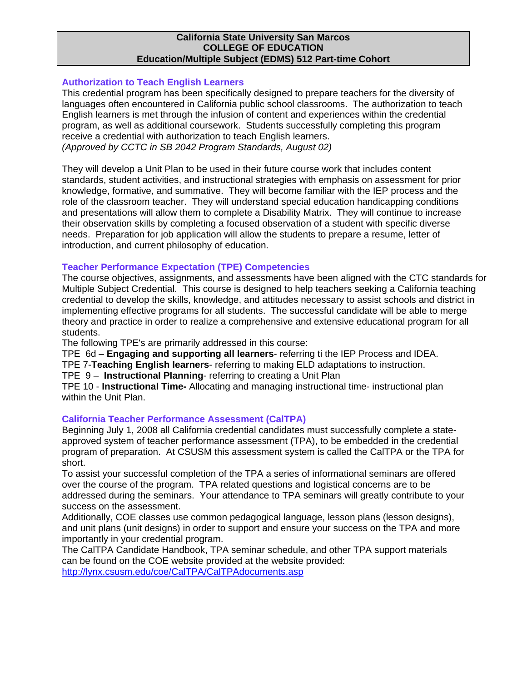#### **Authorization to Teach English Learners**

This credential program has been specifically designed to prepare teachers for the diversity of languages often encountered in California public school classrooms. The authorization to teach English learners is met through the infusion of content and experiences within the credential program, as well as additional coursework. Students successfully completing this program receive a credential with authorization to teach English learners. *(Approved by CCTC in SB 2042 Program Standards, August 02)* 

 introduction, and current philosophy of education. They will develop a Unit Plan to be used in their future course work that includes content standards, student activities, and instructional strategies with emphasis on assessment for prior knowledge, formative, and summative. They will become familiar with the IEP process and the role of the classroom teacher. They will understand special education handicapping conditions and presentations will allow them to complete a Disability Matrix. They will continue to increase their observation skills by completing a focused observation of a student with specific diverse needs. Preparation for job application will allow the students to prepare a resume, letter of

## **Teacher Performance Expectation (TPE) Competencies**

The course objectives, assignments, and assessments have been aligned with the CTC standards for Multiple Subject Credential. This course is designed to help teachers seeking a California teaching credential to develop the skills, knowledge, and attitudes necessary to assist schools and district in implementing effective programs for all students. The successful candidate will be able to merge theory and practice in order to realize a comprehensive and extensive educational program for all students.

The following TPE's are primarily addressed in this course:

TPE 6d – **Engaging and supporting all learners**- referring ti the IEP Process and IDEA.

TPE 7-**Teaching English learners**- referring to making ELD adaptations to instruction.

TPE 9 – **Instructional Planning**- referring to creating a Unit Plan

TPE 10 - **Instructional Time-** Allocating and managing instructional time- instructional plan within the Unit Plan.

## **California Teacher Performance Assessment (CalTPA)**

Beginning July 1, 2008 all California credential candidates must successfully complete a stateapproved system of teacher performance assessment (TPA), to be embedded in the credential program of preparation. At CSUSM this assessment system is called the CalTPA or the TPA for short.

To assist your successful completion of the TPA a series of informational seminars are offered over the course of the program. TPA related questions and logistical concerns are to be addressed during the seminars. Your attendance to TPA seminars will greatly contribute to your success on the assessment.

Additionally, COE classes use common pedagogical language, lesson plans (lesson designs), and unit plans (unit designs) in order to support and ensure your success on the TPA and more importantly in your credential program.

The CalTPA Candidate Handbook, TPA seminar schedule, and other TPA support materials can be found on the COE website provided at the website provided:

http://lynx.csusm.edu/coe/CalTPA/CalTPAdocuments.asp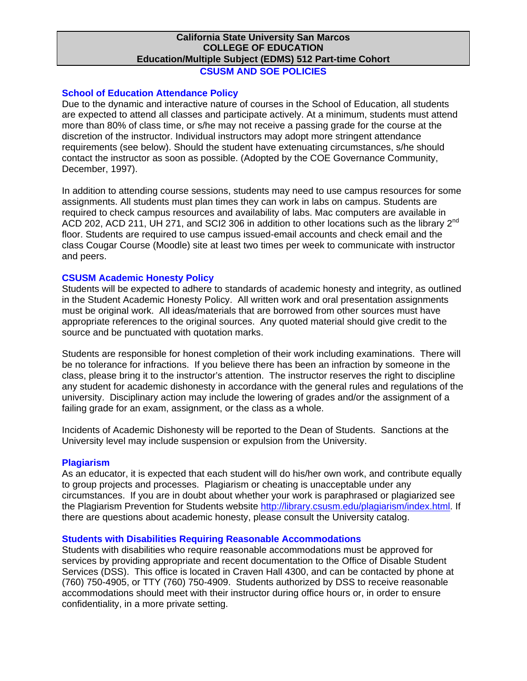## **CSUSM AND SOE POLICIES**

## **School of Education Attendance Policy**

Due to the dynamic and interactive nature of courses in the School of Education, all students are expected to attend all classes and participate actively. At a minimum, students must attend more than 80% of class time, or s/he may not receive a passing grade for the course at the discretion of the instructor. Individual instructors may adopt more stringent attendance requirements (see below). Should the student have extenuating circumstances, s/he should contact the instructor as soon as possible. (Adopted by the COE Governance Community, December, 1997).

In addition to attending course sessions, students may need to use campus resources for some assignments. All students must plan times they can work in labs on campus. Students are required to check campus resources and availability of labs. Mac computers are available in ACD 202, ACD 211, UH 271, and SCI2 306 in addition to other locations such as the library 2<sup>nd</sup> floor. Students are required to use campus issued-email accounts and check email and the class Cougar Course (Moodle) site at least two times per week to communicate with instructor and peers.

## **CSUSM Academic Honesty Policy**

Students will be expected to adhere to standards of academic honesty and integrity, as outlined in the Student Academic Honesty Policy. All written work and oral presentation assignments must be original work. All ideas/materials that are borrowed from other sources must have appropriate references to the original sources. Any quoted material should give credit to the source and be punctuated with quotation marks.

Students are responsible for honest completion of their work including examinations. There will be no tolerance for infractions. If you believe there has been an infraction by someone in the class, please bring it to the instructor's attention. The instructor reserves the right to discipline any student for academic dishonesty in accordance with the general rules and regulations of the university. Disciplinary action may include the lowering of grades and/or the assignment of a failing grade for an exam, assignment, or the class as a whole.

Incidents of Academic Dishonesty will be reported to the Dean of Students. Sanctions at the University level may include suspension or expulsion from the University.

#### **Plagiarism**

As an educator, it is expected that each student will do his/her own work, and contribute equally to group projects and processes. Plagiarism or cheating is unacceptable under any circumstances. If you are in doubt about whether your work is paraphrased or plagiarized see the Plagiarism Prevention for Students website http://library.csusm.edu/plagiarism/index.html. If there are questions about academic honesty, please consult the University catalog.

## **Students with Disabilities Requiring Reasonable Accommodations**

Students with disabilities who require reasonable accommodations must be approved for services by providing appropriate and recent documentation to the Office of Disable Student Services (DSS). This office is located in Craven Hall 4300, and can be contacted by phone at (760) 750-4905, or TTY (760) 750-4909. Students authorized by DSS to receive reasonable accommodations should meet with their instructor during office hours or, in order to ensure confidentiality, in a more private setting.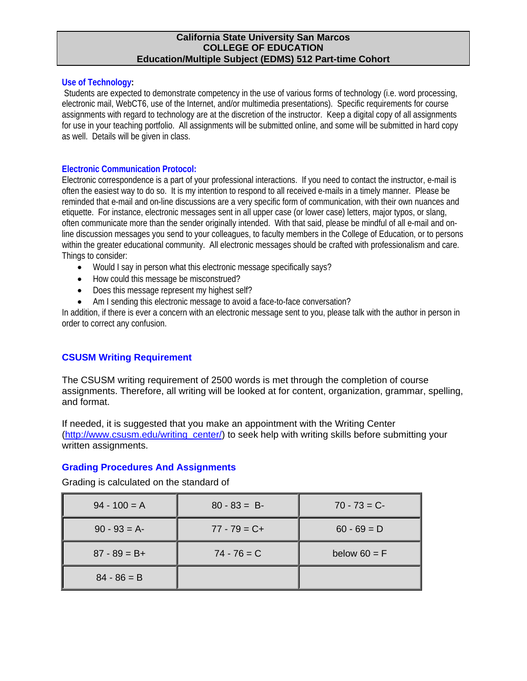#### **Use of Technology:**

Students are expected to demonstrate competency in the use of various forms of technology (i.e. word processing, electronic mail, WebCT6, use of the Internet, and/or multimedia presentations). Specific requirements for course assignments with regard to technology are at the discretion of the instructor. Keep a digital copy of all assignments for use in your teaching portfolio. All assignments will be submitted online, and some will be submitted in hard copy as well. Details will be given in class.

#### **Electronic Communication Protocol:**

Electronic correspondence is a part of your professional interactions. If you need to contact the instructor, e-mail is often the easiest way to do so. It is my intention to respond to all received e-mails in a timely manner. Please be reminded that e-mail and on-line discussions are a very specific form of communication, with their own nuances and etiquette. For instance, electronic messages sent in all upper case (or lower case) letters, major typos, or slang, often communicate more than the sender originally intended. With that said, please be mindful of all e-mail and online discussion messages you send to your colleagues, to faculty members in the College of Education, or to persons within the greater educational community. All electronic messages should be crafted with professionalism and care. Things to consider:

- Would I say in person what this electronic message specifically says?
- How could this message be misconstrued?
- Does this message represent my highest self?
- Am I sending this electronic message to avoid a face-to-face conversation?

In addition, if there is ever a concern with an electronic message sent to you, please talk with the author in person in order to correct any confusion.

## **CSUSM Writing Requirement**

The CSUSM writing requirement of 2500 words is met through the completion of course assignments. Therefore, all writing will be looked at for content, organization, grammar, spelling, and format.

If needed, it is suggested that you make an appointment with the Writing Center (http://www.csusm.edu/writing\_center/) to seek help with writing skills before submitting your written assignments.

## **Grading Procedures And Assignments**

Grading is calculated on the standard of

| $94 - 100 = A$  | $80 - 83 = B$   | $70 - 73 = C$  |
|-----------------|-----------------|----------------|
| $90 - 93 = A$   | $77 - 79 = C +$ | $60 - 69 = D$  |
| $87 - 89 = B +$ | $74 - 76 = C$   | below $60 = F$ |
| $84 - 86 = B$   |                 |                |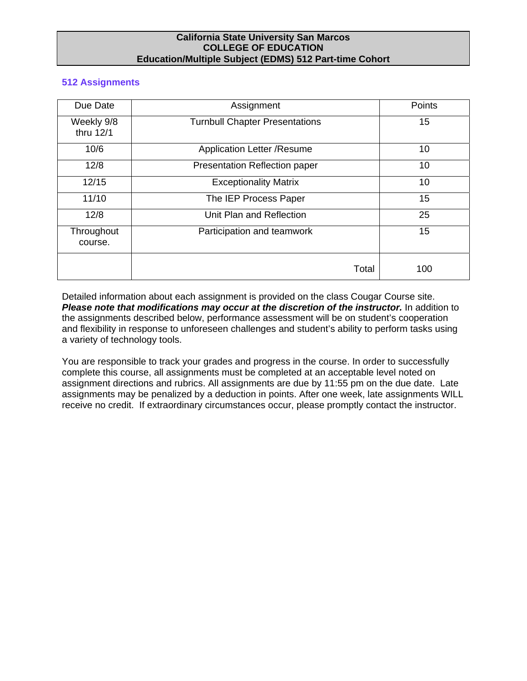#### **512 Assignments**

| Due Date                | Assignment                            | Points |  |  |
|-------------------------|---------------------------------------|--------|--|--|
| Weekly 9/8<br>thru 12/1 | <b>Turnbull Chapter Presentations</b> |        |  |  |
| 10/6                    | Application Letter / Resume           |        |  |  |
| 12/8                    | <b>Presentation Reflection paper</b>  |        |  |  |
| 12/15                   | <b>Exceptionality Matrix</b>          | 10     |  |  |
| 11/10                   | The IEP Process Paper                 | 15     |  |  |
| 12/8                    | Unit Plan and Reflection              | 25     |  |  |
| Throughout<br>course.   | Participation and teamwork            | 15     |  |  |
|                         | Total                                 | 100    |  |  |

Detailed information about each assignment is provided on the class Cougar Course site. *Please note that modifications may occur at the discretion of the instructor.* In addition to the assignments described below, performance assessment will be on student's cooperation and flexibility in response to unforeseen challenges and student's ability to perform tasks using a variety of technology tools.

You are responsible to track your grades and progress in the course. In order to successfully complete this course, all assignments must be completed at an acceptable level noted on assignment directions and rubrics. All assignments are due by 11:55 pm on the due date. Late assignments may be penalized by a deduction in points. After one week, late assignments WILL receive no credit. If extraordinary circumstances occur, please promptly contact the instructor.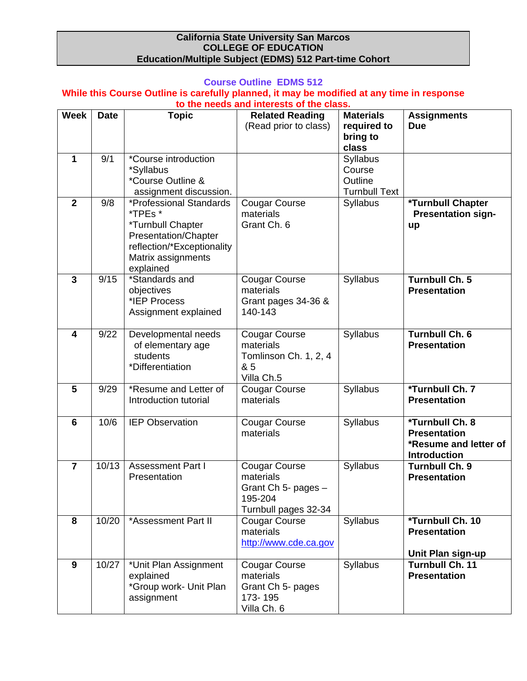## **Course Outline EDMS 512**

# **While this Course Outline is carefully planned, it may be modified at any time in response**

|                | to the needs and interests of the class. |                                                                                                                                                  |                                                                                             |                                                       |                                                                                        |  |
|----------------|------------------------------------------|--------------------------------------------------------------------------------------------------------------------------------------------------|---------------------------------------------------------------------------------------------|-------------------------------------------------------|----------------------------------------------------------------------------------------|--|
| <b>Week</b>    | <b>Date</b>                              | <b>Topic</b>                                                                                                                                     | <b>Related Reading</b><br>(Read prior to class)                                             | <b>Materials</b><br>required to<br>bring to<br>class  | <b>Assignments</b><br><b>Due</b>                                                       |  |
| 1              | 9/1                                      | *Course introduction<br>*Syllabus<br>*Course Outline &<br>assignment discussion.                                                                 |                                                                                             | Syllabus<br>Course<br>Outline<br><b>Turnbull Text</b> |                                                                                        |  |
| $\overline{2}$ | 9/8                                      | *Professional Standards<br>*TPEs *<br>*Turnbull Chapter<br>Presentation/Chapter<br>reflection/*Exceptionality<br>Matrix assignments<br>explained | <b>Cougar Course</b><br>materials<br>Grant Ch. 6                                            | Syllabus                                              | *Turnbull Chapter<br><b>Presentation sign-</b><br>up                                   |  |
| $\mathbf{3}$   | 9/15                                     | *Standards and<br>objectives<br>*IEP Process<br>Assignment explained                                                                             | <b>Cougar Course</b><br>materials<br>Grant pages 34-36 &<br>140-143                         | Syllabus                                              | <b>Turnbull Ch. 5</b><br><b>Presentation</b>                                           |  |
| 4              | 9/22                                     | Developmental needs<br>of elementary age<br>students<br>*Differentiation                                                                         | <b>Cougar Course</b><br>materials<br>Tomlinson Ch. 1, 2, 4<br>& 5<br>Villa Ch.5             | Syllabus                                              | <b>Turnbull Ch. 6</b><br><b>Presentation</b>                                           |  |
| 5              | 9/29                                     | *Resume and Letter of<br>Introduction tutorial                                                                                                   | <b>Cougar Course</b><br>materials                                                           | Syllabus                                              | *Turnbull Ch. 7<br><b>Presentation</b>                                                 |  |
| 6              | 10/6                                     | <b>IEP Observation</b>                                                                                                                           | <b>Cougar Course</b><br>materials                                                           | Syllabus                                              | *Turnbull Ch. 8<br><b>Presentation</b><br>*Resume and letter of<br><b>Introduction</b> |  |
| $\overline{7}$ | 10/13                                    | <b>Assessment Part I</b><br>Presentation                                                                                                         | <b>Cougar Course</b><br>materials<br>Grant Ch 5- pages -<br>195-204<br>Turnbull pages 32-34 | Syllabus                                              | <b>Turnbull Ch. 9</b><br><b>Presentation</b>                                           |  |
| 8              | 10/20                                    | *Assessment Part II                                                                                                                              | <b>Cougar Course</b><br>materials<br>http://www.cde.ca.gov                                  | <b>Syllabus</b>                                       | *Turnbull Ch. 10<br><b>Presentation</b><br>Unit Plan sign-up                           |  |
| 9              | 10/27                                    | *Unit Plan Assignment<br>explained<br>*Group work- Unit Plan<br>assignment                                                                       | <b>Cougar Course</b><br>materials<br>Grant Ch 5- pages<br>173-195<br>Villa Ch. 6            | Syllabus                                              | <b>Turnbull Ch. 11</b><br><b>Presentation</b>                                          |  |